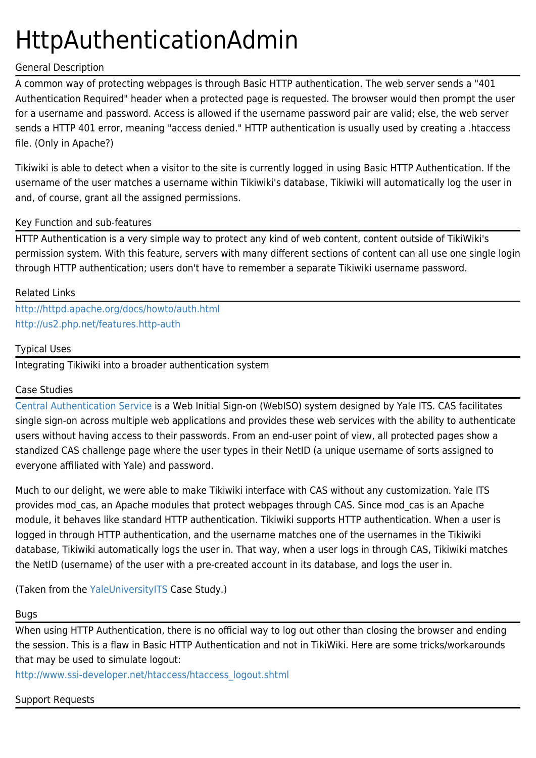# HttpAuthenticationAdmin

## General Description

A common way of protecting webpages is through Basic HTTP authentication. The web server sends a "401 Authentication Required" header when a protected page is requested. The browser would then prompt the user for a username and password. Access is allowed if the username password pair are valid; else, the web server sends a HTTP 401 error, meaning "access denied." HTTP authentication is usually used by creating a .htaccess file. (Only in Apache?)

Tikiwiki is able to detect when a visitor to the site is currently logged in using Basic HTTP Authentication. If the username of the user matches a username within Tikiwiki's database, Tikiwiki will automatically log the user in and, of course, grant all the assigned permissions.

## Key Function and sub-features

HTTP Authentication is a very simple way to protect any kind of web content, content outside of TikiWiki's permission system. With this feature, servers with many different sections of content can all use one single login through HTTP authentication; users don't have to remember a separate Tikiwiki username password.

### Related Links

<http://httpd.apache.org/docs/howto/auth.html> <http://us2.php.net/features.http-auth>

### Typical Uses

Integrating Tikiwiki into a broader authentication system

## Case Studies

[Central Authentication Service](http://www.yale.edu/tp/auth/) is a Web Initial Sign-on (WebISO) system designed by Yale ITS. CAS facilitates single sign-on across multiple web applications and provides these web services with the ability to authenticate users without having access to their passwords. From an end-user point of view, all protected pages show a standized CAS challenge page where the user types in their NetID (a unique username of sorts assigned to everyone affiliated with Yale) and password.

Much to our delight, we were able to make Tikiwiki interface with CAS without any customization. Yale ITS provides mod cas, an Apache modules that protect webpages through CAS. Since mod cas is an Apache module, it behaves like standard HTTP authentication. Tikiwiki supports HTTP authentication. When a user is logged in through HTTP authentication, and the username matches one of the usernames in the Tikiwiki database, Tikiwiki automatically logs the user in. That way, when a user logs in through CAS, Tikiwiki matches the NetID (username) of the user with a pre-created account in its database, and logs the user in.

(Taken from the [YaleUniversityITS](https://tiki.org/YaleUniversityITS) Case Study.)

#### Bugs

When using HTTP Authentication, there is no official way to log out other than closing the browser and ending the session. This is a flaw in Basic HTTP Authentication and not in TikiWiki. Here are some tricks/workarounds that may be used to simulate logout:

[http://www.ssi-developer.net/htaccess/htaccess\\_logout.shtml](http://www.ssi-developer.net/htaccess/htaccess_logout.shtml)

## Support Requests